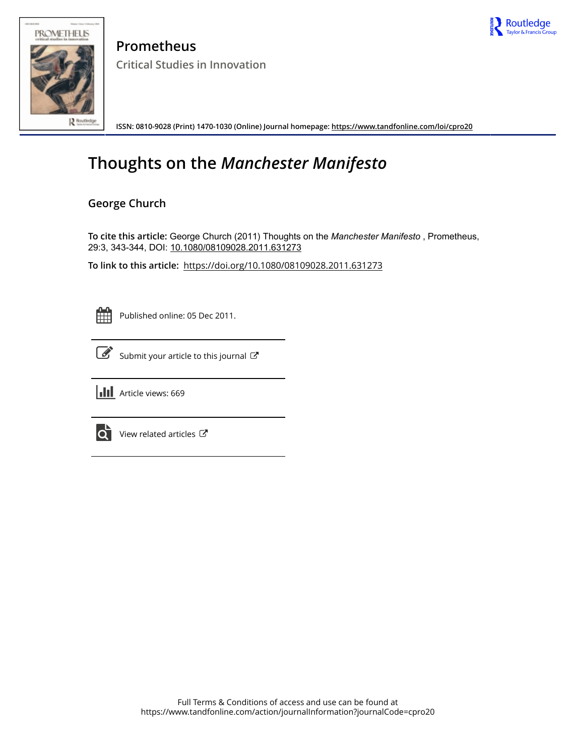



**Prometheus Critical Studies in Innovation**

**ISSN: 0810-9028 (Print) 1470-1030 (Online) Journal homepage:<https://www.tandfonline.com/loi/cpro20>**

# **Thoughts on the** *Manchester Manifesto*

## **George Church**

To cite this article: George Church (2011) Thoughts on the *Manchester Manifesto*, Prometheus, 29:3, 343-344, DOI: [10.1080/08109028.2011.631273](https://www.tandfonline.com/action/showCitFormats?doi=10.1080/08109028.2011.631273)

**To link to this article:** <https://doi.org/10.1080/08109028.2011.631273>

Published online: 05 Dec 2011.



 $\overrightarrow{S}$  [Submit your article to this journal](https://www.tandfonline.com/action/authorSubmission?journalCode=cpro20&show=instructions)  $\overrightarrow{S}$ 





 $\bullet$  [View related articles](https://www.tandfonline.com/doi/mlt/10.1080/08109028.2011.631273)  $\sigma$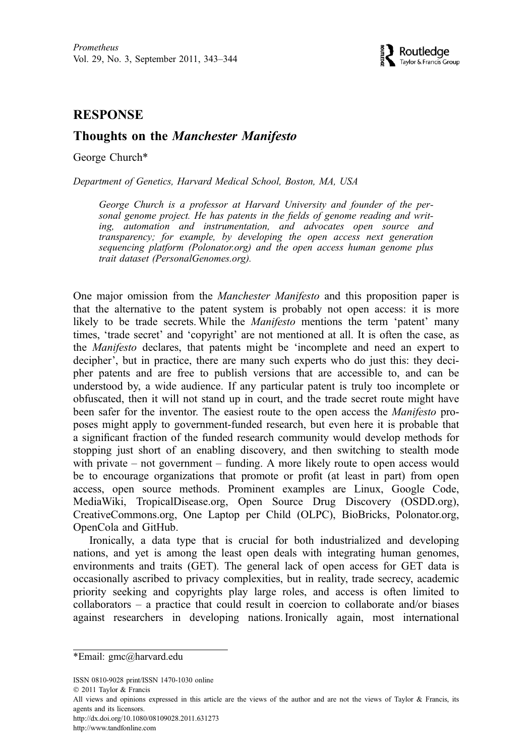

### **RESPONSE**

## RESPONSE **Thoughts on the Manchester Manifesto**

George Church\*

Department of Genetics, Harvard Medical School, Boston, MA, USA

George Church is a professor at Harvard University and founder of the personal genome project. He has patents in the fields of genome reading and writing, automation and instrumentation, and advocates open source and transparency; for example, by developing the open access next generation sequencing platform (Polonator.org) and the open access human genome plus trait dataset (PersonalGenomes.org).

One major omission from the Manchester Manifesto and this proposition paper is that the alternative to the patent system is probably not open access: it is more likely to be trade secrets. While the Manifesto mentions the term 'patent' many times, 'trade secret' and 'copyright' are not mentioned at all. It is often the case, as the Manifesto declares, that patents might be 'incomplete and need an expert to decipher', but in practice, there are many such experts who do just this: they decipher patents and are free to publish versions that are accessible to, and can be understood by, a wide audience. If any particular patent is truly too incomplete or obfuscated, then it will not stand up in court, and the trade secret route might have been safer for the inventor. The easiest route to the open access the *Manifesto* proposes might apply to government-funded research, but even here it is probable that a significant fraction of the funded research community would develop methods for stopping just short of an enabling discovery, and then switching to stealth mode with private – not government – funding. A more likely route to open access would be to encourage organizations that promote or profit (at least in part) from open access, open source methods. Prominent examples are Linux, Google Code, MediaWiki, TropicalDisease.org, Open Source Drug Discovery (OSDD.org), CreativeCommons.org, One Laptop per Child (OLPC), BioBricks, Polonator.org, OpenCola and GitHub.

Ironically, a data type that is crucial for both industrialized and developing nations, and yet is among the least open deals with integrating human genomes, environments and traits (GET). The general lack of open access for GET data is occasionally ascribed to privacy complexities, but in reality, trade secrecy, academic priority seeking and copyrights play large roles, and access is often limited to collaborators – a practice that could result in coercion to collaborate and/or biases against researchers in developing nations. Ironically again, most international

ISSN 0810-9028 print/ISSN 1470-1030 online

http://dx.doi.org/10.1080/08109028.2011.631273

http://www.tandfonline.com

<sup>\*</sup>Email: gmc@harvard.edu

2011 Taylor & Francis

All views and opinions expressed in this article are the views of the author and are not the views of Taylor & Francis, its agents and its licensors.